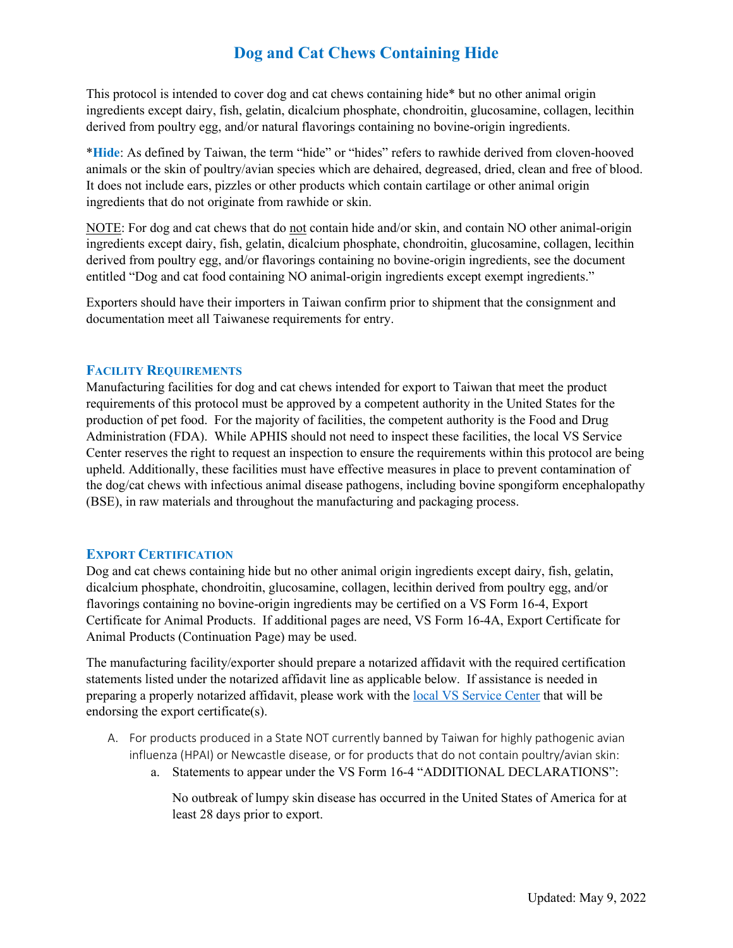# **Dog and Cat Chews Containing Hide**

derived from poultry egg, and/or natural flavorings containing no bovine-origin ingredients. This protocol is intended to cover dog and cat chews containing hide\* but no other animal origin ingredients except dairy, fish, gelatin, dicalcium phosphate, chondroitin, glucosamine, collagen, lecithin

 ingredients that do not originate from rawhide or skin. \***Hide**: As defined by Taiwan, the term "hide" or "hides" refers to rawhide derived from cloven-hooved animals or the skin of poultry/avian species which are dehaired, degreased, dried, clean and free of blood. It does not include ears, pizzles or other products which contain cartilage or other animal origin

NOTE: For dog and cat chews that do not contain hide and/or skin, and contain NO other animal-origin ingredients except dairy, fish, gelatin, dicalcium phosphate, chondroitin, glucosamine, collagen, lecithin derived from poultry egg, and/or flavorings containing no bovine-origin ingredients, see the document entitled "Dog and cat food containing NO animal-origin ingredients except exempt ingredients."

 Exporters should have their importers in Taiwan confirm prior to shipment that the consignment and documentation meet all Taiwanese requirements for entry.

### **FACILITY REQUIREMENTS**

 Manufacturing facilities for dog and cat chews intended for export to Taiwan that meet the product requirements of this protocol must be approved by a competent authority in the United States for the production of pet food. For the majority of facilities, the competent authority is the Food and Drug Administration (FDA). While APHIS should not need to inspect these facilities, the local VS Service Center reserves the right to request an inspection to ensure the requirements within this protocol are being the dog/cat chews with infectious animal disease pathogens, including bovine spongiform encephalopathy upheld. Additionally, these facilities must have effective measures in place to prevent contamination of (BSE), in raw materials and throughout the manufacturing and packaging process.

### **EXPORT CERTIFICATION**

Dog and cat chews containing hide but no other animal origin ingredients except dairy, fish, gelatin, dicalcium phosphate, chondroitin, glucosamine, collagen, lecithin derived from poultry egg, and/or flavorings containing no bovine-origin ingredients may be certified on a VS Form 16-4, Export Certificate for Animal Products. If additional pages are need, VS Form 16-4A, Export Certificate for Animal Products (Continuation Page) may be used.

 The manufacturing facility/exporter should prepare a notarized affidavit with the required certification statements listed under the notarized affidavit line as applicable below. If assistance is needed in preparing a properly notarized affidavit, please work with the [local VS Service Center](https://www.aphis.usda.gov/animal_health/downloads/nies_contacts/sc.pdf) that will be endorsing the export certificate(s).

- A. For products produced in a State NOT currently banned by Taiwan for highly pathogenic avian influenza (HPAI) or Newcastle disease, or for products that do not contain poultry/avian skin:
	- a. Statements to appear under the VS Form 16-4 "ADDITIONAL DECLARATIONS":

 least 28 days prior to export. No outbreak of lumpy skin disease has occurred in the United States of America for at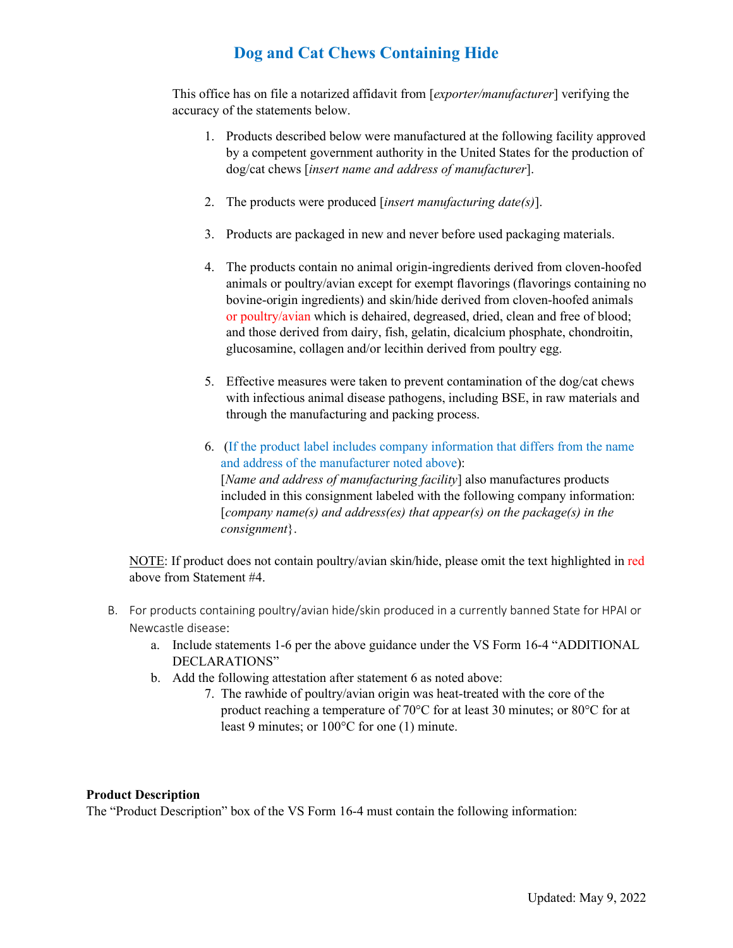# **Dog and Cat Chews Containing Hide**

This office has on file a notarized affidavit from [*exporter/manufacturer*] verifying the accuracy of the statements below.

- 1. Products described below were manufactured at the following facility approved by a competent government authority in the United States for the production of dog/cat chews [*insert name and address of manufacturer*].
- 2. The products were produced [*insert manufacturing date(s)*].
- 3. Products are packaged in new and never before used packaging materials.
- animals or poultry/avian except for exempt flavorings (flavorings containing no or poultry/avian which is dehaired, degreased, dried, clean and free of blood; 4. The products contain no animal origin-ingredients derived from cloven-hoofed bovine-origin ingredients) and skin/hide derived from cloven-hoofed animals and those derived from dairy, fish, gelatin, dicalcium phosphate, chondroitin, glucosamine, collagen and/or lecithin derived from poultry egg.
- 5. Effective measures were taken to prevent contamination of the dog/cat chews with infectious animal disease pathogens, including BSE, in raw materials and through the manufacturing and packing process.
- [*company name(s) and address(es) that appear(s) on the package(s) in the*  6. (If the product label includes company information that differs from the name and address of the manufacturer noted above): [*Name and address of manufacturing facility*] also manufactures products included in this consignment labeled with the following company information: *consignment*}.

NOTE: If product does not contain poultry/avian skin/hide, please omit the text highlighted in red above from Statement #4.

- Newcastle disease: B. For products containing poultry/avian hide/skin produced in a currently banned State for HPAI or
	- a. Include statements 1-6 per the above guidance under the VS Form 16-4 "ADDITIONAL DECLARATIONS"
	- b. Add the following attestation after statement 6 as noted above:
		- 7. The rawhide of poultry/avian origin was heat-treated with the core of the least 9 minutes; or 100°C for one (1) minute. product reaching a temperature of 70°C for at least 30 minutes; or 80°C for at

### **Product Description**

The "Product Description" box of the VS Form 16-4 must contain the following information: